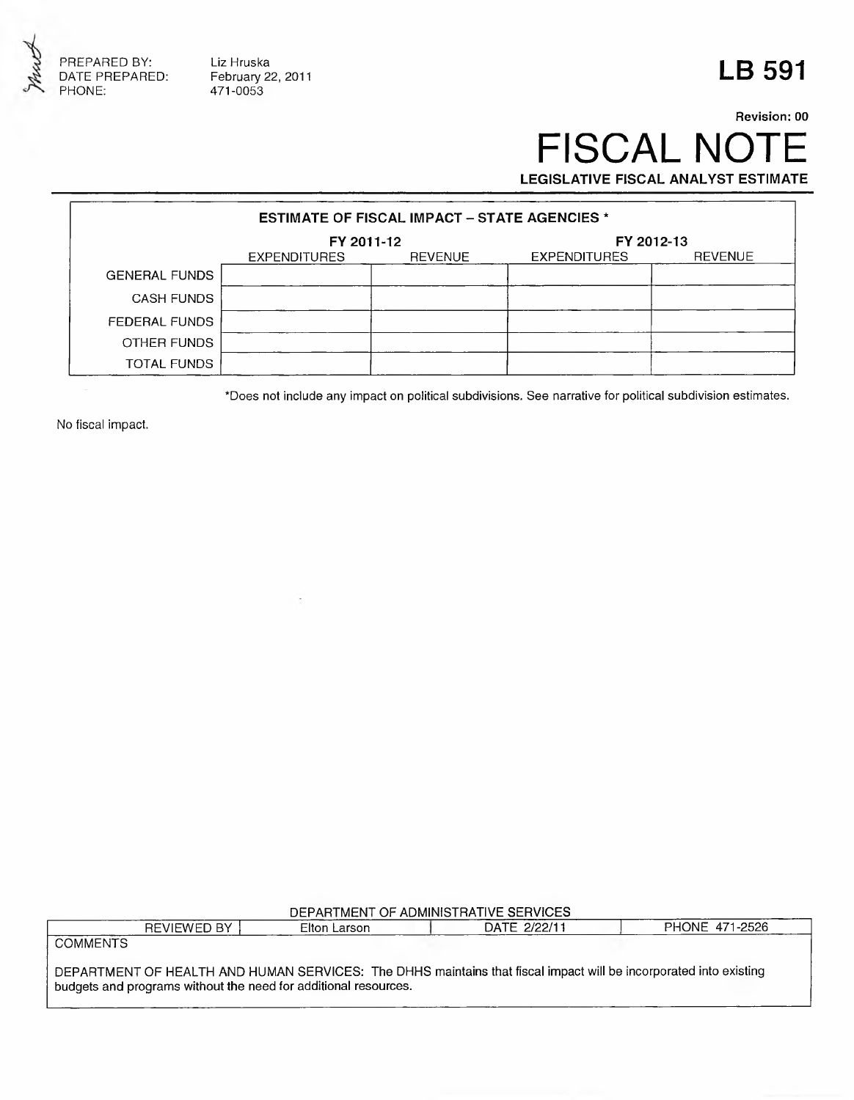

Liz Hruska February 22, 2011 471-0053

## **LB 591**

## **Revision: 00** FISCAL NOTE **LEGISLATIVE FISCAL ANALYST ESTIMATE**

| <b>ESTIMATE OF FISCAL IMPACT - STATE AGENCIES *</b> |                     |                |                     |                |  |
|-----------------------------------------------------|---------------------|----------------|---------------------|----------------|--|
|                                                     | FY 2011-12          |                | FY 2012-13          |                |  |
|                                                     | <b>EXPENDITURES</b> | <b>REVENUE</b> | <b>EXPENDITURES</b> | <b>REVENUE</b> |  |
| <b>GENERAL FUNDS</b>                                |                     |                |                     |                |  |
| <b>CASH FUNDS</b>                                   |                     |                |                     |                |  |
| FEDERAL FUNDS                                       |                     |                |                     |                |  |
| OTHER FUNDS                                         |                     |                |                     |                |  |
| TOTAL FUNDS                                         |                     |                |                     |                |  |

\*Does not include any impact on political subdivisions. See narrative for political subdivision estimates.

No fiscal impact.

| DEPARTMENT OF ADMINISTRATIVE SERVICES |  |  |
|---------------------------------------|--|--|
|                                       |  |  |

|                 | <b>REVIEWED BY 1</b>                                                                                              | Elton Larson | DATE 2/22/11 | PHONE 471-2526 |
|-----------------|-------------------------------------------------------------------------------------------------------------------|--------------|--------------|----------------|
| <b>COMMENTS</b> |                                                                                                                   |              |              |                |
|                 |                                                                                                                   |              |              |                |
|                 | DEPARTMENT OF HEALTH AND HUMAN SERVICES: The DHHS maintains that fiscal impact will be incorporated into existing |              |              |                |
|                 | budgets and programs without the need for additional resources.                                                   |              |              |                |